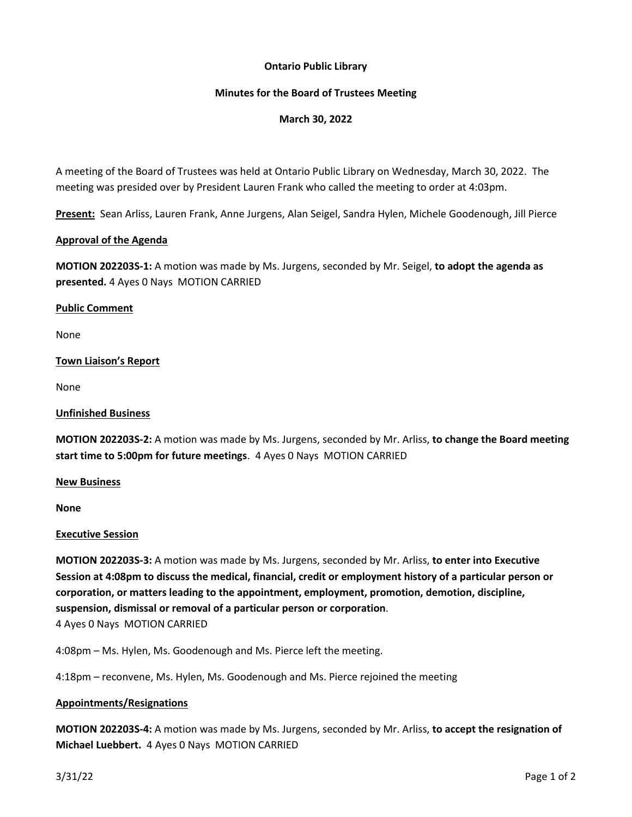# **Ontario Public Library**

# **Minutes for the Board of Trustees Meeting**

# **March 30, 2022**

A meeting of the Board of Trustees was held at Ontario Public Library on Wednesday, March 30, 2022. The meeting was presided over by President Lauren Frank who called the meeting to order at 4:03pm.

**Present:** Sean Arliss, Lauren Frank, Anne Jurgens, Alan Seigel, Sandra Hylen, Michele Goodenough, Jill Pierce

# **Approval of the Agenda**

**MOTION 202203S-1:** A motion was made by Ms. Jurgens, seconded by Mr. Seigel, **to adopt the agenda as presented.** 4 Ayes 0 Nays MOTION CARRIED

### **Public Comment**

None

# **Town Liaison's Report**

None

### **Unfinished Business**

**MOTION 202203S-2:** A motion was made by Ms. Jurgens, seconded by Mr. Arliss, **to change the Board meeting start time to 5:00pm for future meetings**. 4 Ayes 0 Nays MOTION CARRIED

#### **New Business**

**None**

# **Executive Session**

**MOTION 202203S-3:** A motion was made by Ms. Jurgens, seconded by Mr. Arliss, **to enter into Executive Session at 4:08pm to discuss the medical, financial, credit or employment history of a particular person or corporation, or matters leading to the appointment, employment, promotion, demotion, discipline, suspension, dismissal or removal of a particular person or corporation**.

4 Ayes 0 Nays MOTION CARRIED

4:08pm – Ms. Hylen, Ms. Goodenough and Ms. Pierce left the meeting.

4:18pm – reconvene, Ms. Hylen, Ms. Goodenough and Ms. Pierce rejoined the meeting

# **Appointments/Resignations**

**MOTION 202203S-4:** A motion was made by Ms. Jurgens, seconded by Mr. Arliss, **to accept the resignation of Michael Luebbert.** 4 Ayes 0 Nays MOTION CARRIED